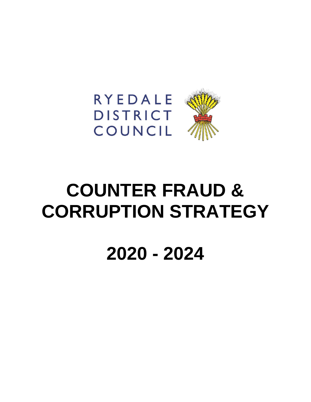



# **COUNTER FRAUD & CORRUPTION STRATEGY**

**2020 - 2024**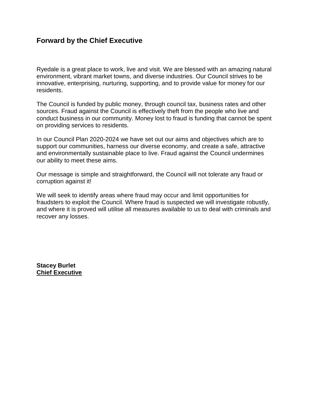## **Forward by the Chief Executive**

Ryedale is a great place to work, live and visit. We are blessed with an amazing natural environment, vibrant market towns, and diverse industries. Our Council strives to be innovative, enterprising, nurturing, supporting, and to provide value for money for our residents.

The Council is funded by public money, through council tax, business rates and other sources. Fraud against the Council is effectively theft from the people who live and conduct business in our community. Money lost to fraud is funding that cannot be spent on providing services to residents.

In our Council Plan 2020-2024 we have set out our aims and objectives which are to support our communities, harness our diverse economy, and create a safe, attractive and environmentally sustainable place to live. Fraud against the Council undermines our ability to meet these aims.

Our message is simple and straightforward, the Council will not tolerate any fraud or corruption against it!

We will seek to identify areas where fraud may occur and limit opportunities for fraudsters to exploit the Council. Where fraud is suspected we will investigate robustly, and where it is proved will utilise all measures available to us to deal with criminals and recover any losses.

**Stacey Burlet Chief Executive**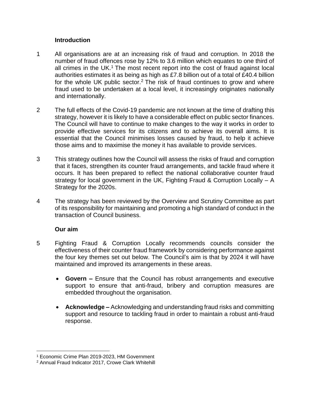#### **Introduction**

- 1 All organisations are at an increasing risk of fraud and corruption. In 2018 the number of fraud offences rose by 12% to 3.6 million which equates to one third of all crimes in the UK.<sup>1</sup> The most recent report into the cost of fraud against local authorities estimates it as being as high as £7.8 billion out of a total of £40.4 billion for the whole UK public sector.<sup>2</sup> The risk of fraud continues to grow and where fraud used to be undertaken at a local level, it increasingly originates nationally and internationally.
- 2 The full effects of the Covid-19 pandemic are not known at the time of drafting this strategy, however it is likely to have a considerable effect on public sector finances. The Council will have to continue to make changes to the way it works in order to provide effective services for its citizens and to achieve its overall aims. It is essential that the Council minimises losses caused by fraud, to help it achieve those aims and to maximise the money it has available to provide services.
- 3 This strategy outlines how the Council will assess the risks of fraud and corruption that it faces, strengthen its counter fraud arrangements, and tackle fraud where it occurs. It has been prepared to reflect the national collaborative counter fraud strategy for local government in the UK, Fighting Fraud & Corruption Locally – A Strategy for the 2020s.
- 4 The strategy has been reviewed by the Overview and Scrutiny Committee as part of its responsibility for maintaining and promoting a high standard of conduct in the transaction of Council business.

#### **Our aim**

- 5 Fighting Fraud & Corruption Locally recommends councils consider the effectiveness of their counter fraud framework by considering performance against the four key themes set out below. The Council's aim is that by 2024 it will have maintained and improved its arrangements in these areas.
	- **Govern –** Ensure that the Council has robust arrangements and executive support to ensure that anti-fraud, bribery and corruption measures are embedded throughout the organisation.
	- **Acknowledge –** Acknowledging and understanding fraud risks and committing support and resource to tackling fraud in order to maintain a robust anti-fraud response.

 $\overline{\phantom{a}}$ <sup>1</sup> Economic Crime Plan 2019-2023, HM Government

<sup>2</sup> Annual Fraud Indicator 2017, Crowe Clark Whitehill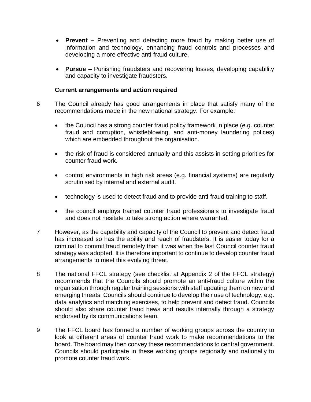- **Prevent –** Preventing and detecting more fraud by making better use of information and technology, enhancing fraud controls and processes and developing a more effective anti-fraud culture.
- **Pursue –** Punishing fraudsters and recovering losses, developing capability and capacity to investigate fraudsters.

#### **Current arrangements and action required**

- 6 The Council already has good arrangements in place that satisfy many of the recommendations made in the new national strategy. For example:
	- the Council has a strong counter fraud policy framework in place (e.g. counter fraud and corruption, whistleblowing, and anti-money laundering polices) which are embedded throughout the organisation.
	- the risk of fraud is considered annually and this assists in setting priorities for counter fraud work.
	- control environments in high risk areas (e.g. financial systems) are regularly scrutinised by internal and external audit.
	- technology is used to detect fraud and to provide anti-fraud training to staff.
	- the council employs trained counter fraud professionals to investigate fraud and does not hesitate to take strong action where warranted.
- 7 However, as the capability and capacity of the Council to prevent and detect fraud has increased so has the ability and reach of fraudsters. It is easier today for a criminal to commit fraud remotely than it was when the last Council counter fraud strategy was adopted. It is therefore important to continue to develop counter fraud arrangements to meet this evolving threat.
- 8 The national FFCL strategy (see checklist at Appendix 2 of the FFCL strategy) recommends that the Councils should promote an anti-fraud culture within the organisation through regular training sessions with staff updating them on new and emerging threats. Councils should continue to develop their use of technology, e.g. data analytics and matching exercises, to help prevent and detect fraud. Councils should also share counter fraud news and results internally through a strategy endorsed by its communications team.
- 9 The FFCL board has formed a number of working groups across the country to look at different areas of counter fraud work to make recommendations to the board. The board may then convey these recommendations to central government. Councils should participate in these working groups regionally and nationally to promote counter fraud work.